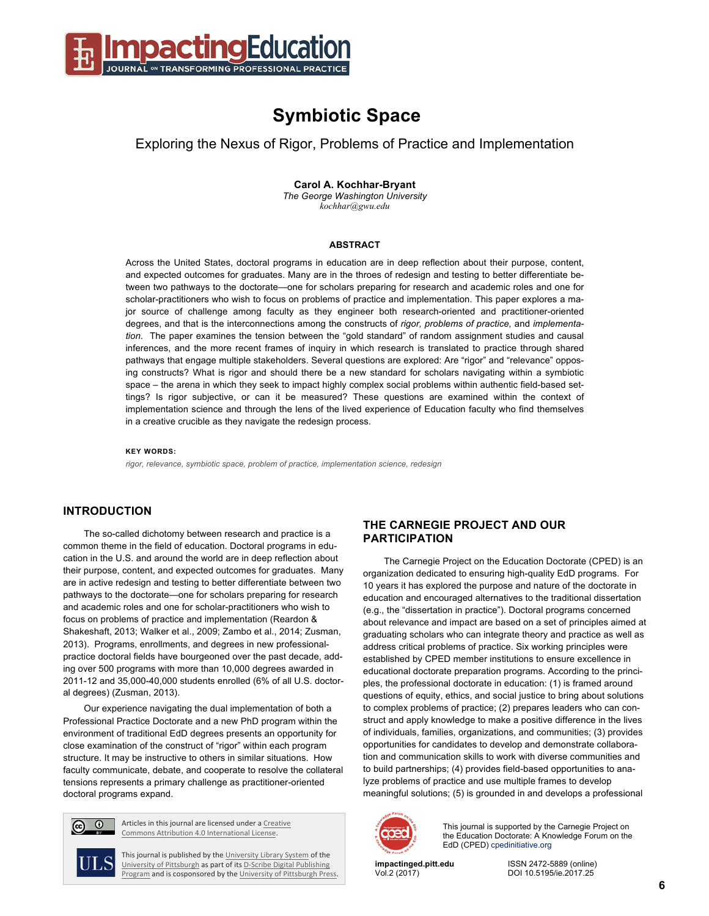

# **Symbiotic Space**

Exploring the Nexus of Rigor, Problems of Practice and Implementation

**Carol A. Kochhar-Bryant**

*The George Washington University kochhar@gwu.edu*

#### **ABSTRACT**

Across the United States, doctoral programs in education are in deep reflection about their purpose, content, and expected outcomes for graduates. Many are in the throes of redesign and testing to better differentiate between two pathways to the doctorate—one for scholars preparing for research and academic roles and one for scholar-practitioners who wish to focus on problems of practice and implementation. This paper explores a major source of challenge among faculty as they engineer both research-oriented and practitioner-oriented degrees, and that is the interconnections among the constructs of *rigor, problems of practice,* and *implementation*. The paper examines the tension between the "gold standard" of random assignment studies and causal inferences, and the more recent frames of inquiry in which research is translated to practice through shared pathways that engage multiple stakeholders. Several questions are explored: Are "rigor" and "relevance" opposing constructs? What is rigor and should there be a new standard for scholars navigating within a symbiotic space – the arena in which they seek to impact highly complex social problems within authentic field-based settings? Is rigor subjective, or can it be measured? These questions are examined within the context of implementation science and through the lens of the lived experience of Education faculty who find themselves in a creative crucible as they navigate the redesign process.

#### **KEY WORDS:**

*rigor, relevance, symbiotic space, problem of practice, implementation science, redesign*

## **INTRODUCTION**

The so-called dichotomy between research and practice is a common theme in the field of education. Doctoral programs in education in the U.S. and around the world are in deep reflection about their purpose, content, and expected outcomes for graduates. Many are in active redesign and testing to better differentiate between two pathways to the doctorate—one for scholars preparing for research and academic roles and one for scholar-practitioners who wish to focus on problems of practice and implementation (Reardon & Shakeshaft, 2013; Walker et al., 2009; Zambo et al., 2014; Zusman, 2013). Programs, enrollments, and degrees in new professionalpractice doctoral fields have bourgeoned over the past decade, adding over 500 programs with more than 10,000 degrees awarded in 2011-12 and 35,000-40,000 students enrolled (6% of all U.S. doctoral degrees) (Zusman, 2013).

Our experience navigating the dual implementation of both a Professional Practice Doctorate and a new PhD program within the environment of traditional EdD degrees presents an opportunity for close examination of the construct of "rigor" within each program structure. It may be instructive to others in similar situations. How faculty communicate, debate, and cooperate to resolve the collateral tensions represents a primary challenge as practitioner-oriented doctoral programs expand.



Articles in this journal are licensed under a Creative Commons Attribution 4.0 International License.

This journal is published by the University Library System of the University of Pittsburgh as part of its D-Scribe Digital Publishing Program and is cosponsored by the University of Pittsburgh Press.

## **THE CARNEGIE PROJECT AND OUR PARTICIPATION**

The Carnegie Project on the Education Doctorate (CPED) is an organization dedicated to ensuring high-quality EdD programs. For 10 years it has explored the purpose and nature of the doctorate in education and encouraged alternatives to the traditional dissertation (e.g., the "dissertation in practice"). Doctoral programs concerned about relevance and impact are based on a set of principles aimed at graduating scholars who can integrate theory and practice as well as address critical problems of practice. Six working principles were established by CPED member institutions to ensure excellence in educational doctorate preparation programs. According to the principles, the professional doctorate in education: (1) is framed around questions of equity, ethics, and social justice to bring about solutions to complex problems of practice; (2) prepares leaders who can construct and apply knowledge to make a positive difference in the lives of individuals, families, organizations, and communities; (3) provides opportunities for candidates to develop and demonstrate collaboration and communication skills to work with diverse communities and to build partnerships; (4) provides field-based opportunities to analyze problems of practice and use multiple frames to develop meaningful solutions; (5) is grounded in and develops a professional



This journal is supported by the Carnegie Project on the Education Doctorate: A Knowledge Forum on the EdD (CPED) cpedinitiative.org

**impactinged.pitt.edu** ISSN 2472-5889 (online) Vol.2 (2017) DOI 10.5195/ie.2017.25

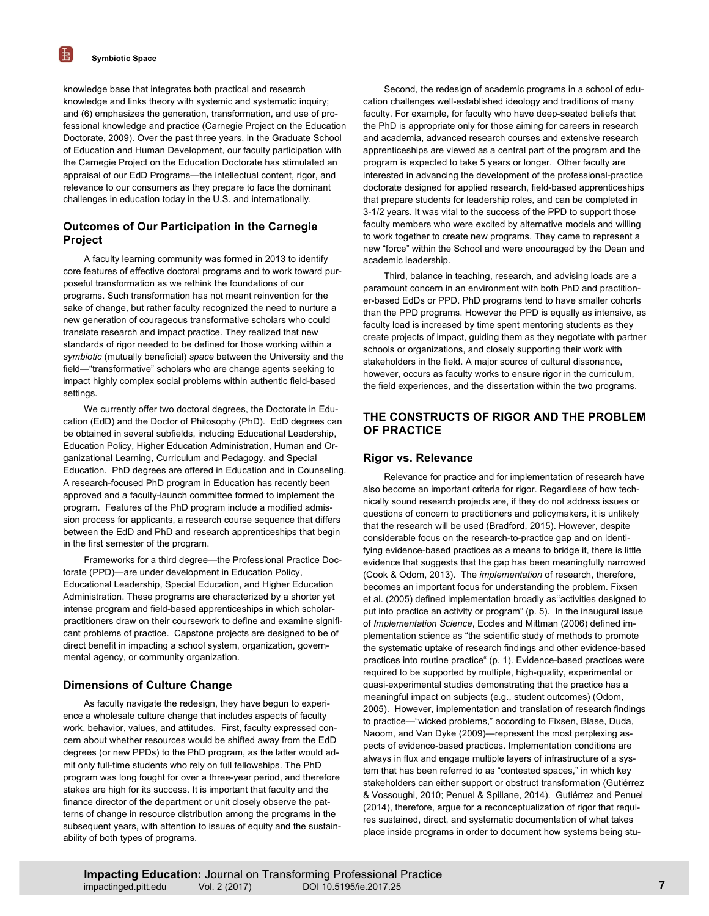knowledge base that integrates both practical and research knowledge and links theory with systemic and systematic inquiry; and (6) emphasizes the generation, transformation, and use of professional knowledge and practice (Carnegie Project on the Education Doctorate, 2009). Over the past three years, in the Graduate School of Education and Human Development, our faculty participation with the Carnegie Project on the Education Doctorate has stimulated an appraisal of our EdD Programs—the intellectual content, rigor, and relevance to our consumers as they prepare to face the dominant challenges in education today in the U.S. and internationally.

# **Outcomes of Our Participation in the Carnegie Project**

A faculty learning community was formed in 2013 to identify core features of effective doctoral programs and to work toward purposeful transformation as we rethink the foundations of our programs. Such transformation has not meant reinvention for the sake of change, but rather faculty recognized the need to nurture a new generation of courageous transformative scholars who could translate research and impact practice. They realized that new standards of rigor needed to be defined for those working within a *symbiotic* (mutually beneficial) *space* between the University and the field—"transformative" scholars who are change agents seeking to impact highly complex social problems within authentic field-based settings.

We currently offer two doctoral degrees, the Doctorate in Education (EdD) and the Doctor of Philosophy (PhD). EdD degrees can be obtained in several subfields, including Educational Leadership, Education Policy, Higher Education Administration, Human and Organizational Learning, Curriculum and Pedagogy, and Special Education. PhD degrees are offered in Education and in Counseling. A research-focused PhD program in Education has recently been approved and a faculty-launch committee formed to implement the program. Features of the PhD program include a modified admission process for applicants, a research course sequence that differs between the EdD and PhD and research apprenticeships that begin in the first semester of the program.

Frameworks for a third degree—the Professional Practice Doctorate (PPD)—are under development in Education Policy, Educational Leadership, Special Education, and Higher Education Administration. These programs are characterized by a shorter yet intense program and field-based apprenticeships in which scholarpractitioners draw on their coursework to define and examine significant problems of practice. Capstone projects are designed to be of direct benefit in impacting a school system, organization, governmental agency, or community organization.

# **Dimensions of Culture Change**

As faculty navigate the redesign, they have begun to experience a wholesale culture change that includes aspects of faculty work, behavior, values, and attitudes. First, faculty expressed concern about whether resources would be shifted away from the EdD degrees (or new PPDs) to the PhD program, as the latter would admit only full-time students who rely on full fellowships. The PhD program was long fought for over a three-year period, and therefore stakes are high for its success. It is important that faculty and the finance director of the department or unit closely observe the patterns of change in resource distribution among the programs in the subsequent years, with attention to issues of equity and the sustainability of both types of programs.

Second, the redesign of academic programs in a school of education challenges well-established ideology and traditions of many faculty. For example, for faculty who have deep-seated beliefs that the PhD is appropriate only for those aiming for careers in research and academia, advanced research courses and extensive research apprenticeships are viewed as a central part of the program and the program is expected to take 5 years or longer. Other faculty are interested in advancing the development of the professional-practice doctorate designed for applied research, field-based apprenticeships that prepare students for leadership roles, and can be completed in 3-1/2 years. It was vital to the success of the PPD to support those faculty members who were excited by alternative models and willing to work together to create new programs. They came to represent a new "force" within the School and were encouraged by the Dean and academic leadership.

Third, balance in teaching, research, and advising loads are a paramount concern in an environment with both PhD and practitioner-based EdDs or PPD. PhD programs tend to have smaller cohorts than the PPD programs. However the PPD is equally as intensive, as faculty load is increased by time spent mentoring students as they create projects of impact, guiding them as they negotiate with partner schools or organizations, and closely supporting their work with stakeholders in the field. A major source of cultural dissonance, however, occurs as faculty works to ensure rigor in the curriculum, the field experiences, and the dissertation within the two programs.

## **THE CONSTRUCTS OF RIGOR AND THE PROBLEM OF PRACTICE**

#### **Rigor vs. Relevance**

Relevance for practice and for implementation of research have also become an important criteria for rigor. Regardless of how technically sound research projects are, if they do not address issues or questions of concern to practitioners and policymakers, it is unlikely that the research will be used (Bradford, 2015). However, despite considerable focus on the research-to-practice gap and on identifying evidence-based practices as a means to bridge it, there is little evidence that suggests that the gap has been meaningfully narrowed (Cook & Odom, 2013). The *implementation* of research, therefore, becomes an important focus for understanding the problem. Fixsen et al. (2005) defined implementation broadly as''activities designed to put into practice an activity or program" (p. 5). In the inaugural issue of *Implementation Science*, Eccles and Mittman (2006) defined implementation science as "the scientific study of methods to promote the systematic uptake of research findings and other evidence-based practices into routine practice" (p. 1). Evidence-based practices were required to be supported by multiple, high-quality, experimental or quasi-experimental studies demonstrating that the practice has a meaningful impact on subjects (e.g., student outcomes) (Odom, 2005). However, implementation and translation of research findings to practice—"wicked problems," according to Fixsen, Blase, Duda, Naoom, and Van Dyke (2009)—represent the most perplexing aspects of evidence-based practices. Implementation conditions are always in flux and engage multiple layers of infrastructure of a system that has been referred to as "contested spaces," in which key stakeholders can either support or obstruct transformation (Gutiérrez & Vossoughi, 2010; Penuel & Spillane, 2014). Gutiérrez and Penuel (2014), therefore, argue for a reconceptualization of rigor that requires sustained, direct, and systematic documentation of what takes place inside programs in order to document how systems being stu-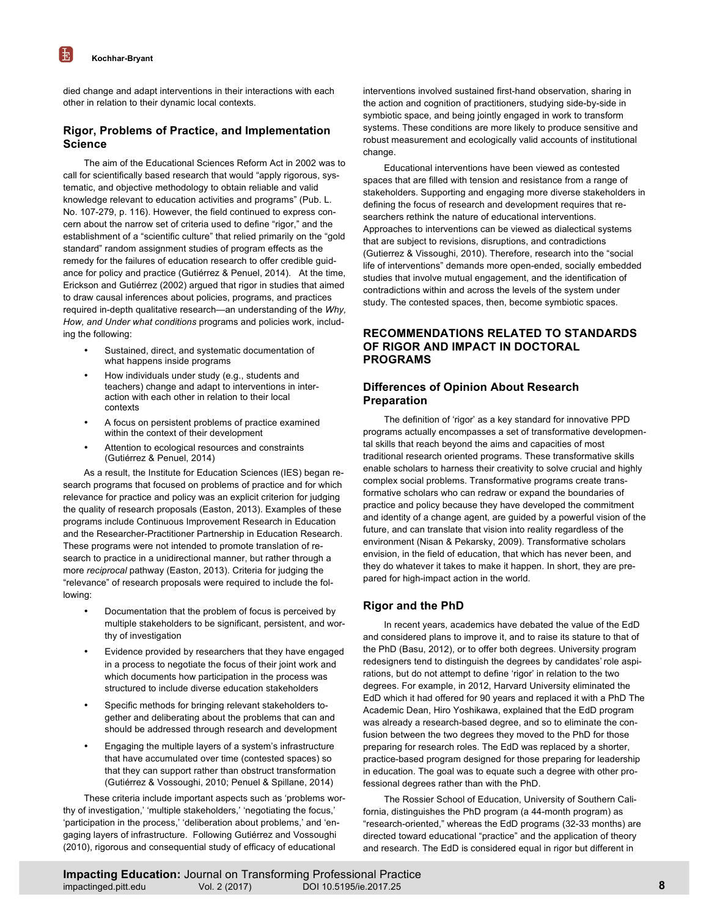died change and adapt interventions in their interactions with each other in relation to their dynamic local contexts.

# **Rigor, Problems of Practice, and Implementation Science**

The aim of the Educational Sciences Reform Act in 2002 was to call for scientifically based research that would "apply rigorous, systematic, and objective methodology to obtain reliable and valid knowledge relevant to education activities and programs" (Pub. L. No. 107-279, p. 116). However, the field continued to express concern about the narrow set of criteria used to define "rigor," and the establishment of a "scientific culture" that relied primarily on the "gold standard" random assignment studies of program effects as the remedy for the failures of education research to offer credible guidance for policy and practice (Gutiérrez & Penuel, 2014). At the time, Erickson and Gutiérrez (2002) argued that rigor in studies that aimed to draw causal inferences about policies, programs, and practices required in-depth qualitative research—an understanding of the *Why, How, and Under what conditions* programs and policies work, including the following:

- Sustained, direct, and systematic documentation of what happens inside programs
- How individuals under study (e.g., students and teachers) change and adapt to interventions in interaction with each other in relation to their local contexts
- A focus on persistent problems of practice examined within the context of their development
- Attention to ecological resources and constraints (Gutiérrez & Penuel, 2014)

As a result, the Institute for Education Sciences (IES) began research programs that focused on problems of practice and for which relevance for practice and policy was an explicit criterion for judging the quality of research proposals (Easton, 2013). Examples of these programs include Continuous Improvement Research in Education and the Researcher-Practitioner Partnership in Education Research. These programs were not intended to promote translation of research to practice in a unidirectional manner, but rather through a more *reciprocal* pathway (Easton, 2013). Criteria for judging the "relevance" of research proposals were required to include the following:

- Documentation that the problem of focus is perceived by multiple stakeholders to be significant, persistent, and worthy of investigation
- Evidence provided by researchers that they have engaged in a process to negotiate the focus of their joint work and which documents how participation in the process was structured to include diverse education stakeholders
- Specific methods for bringing relevant stakeholders together and deliberating about the problems that can and should be addressed through research and development
- Engaging the multiple layers of a system's infrastructure that have accumulated over time (contested spaces) so that they can support rather than obstruct transformation (Gutiérrez & Vossoughi, 2010; Penuel & Spillane, 2014)

These criteria include important aspects such as 'problems worthy of investigation,' 'multiple stakeholders,' 'negotiating the focus,' 'participation in the process,' 'deliberation about problems,' and 'engaging layers of infrastructure. Following Gutiérrez and Vossoughi (2010), rigorous and consequential study of efficacy of educational

interventions involved sustained first-hand observation, sharing in the action and cognition of practitioners, studying side-by-side in symbiotic space, and being jointly engaged in work to transform systems. These conditions are more likely to produce sensitive and robust measurement and ecologically valid accounts of institutional change.

Educational interventions have been viewed as contested spaces that are filled with tension and resistance from a range of stakeholders. Supporting and engaging more diverse stakeholders in defining the focus of research and development requires that researchers rethink the nature of educational interventions. Approaches to interventions can be viewed as dialectical systems that are subject to revisions, disruptions, and contradictions (Gutierrez & Vissoughi, 2010). Therefore, research into the "social life of interventions" demands more open-ended, socially embedded studies that involve mutual engagement, and the identification of contradictions within and across the levels of the system under study. The contested spaces, then, become symbiotic spaces.

## **RECOMMENDATIONS RELATED TO STANDARDS OF RIGOR AND IMPACT IN DOCTORAL PROGRAMS**

# **Differences of Opinion About Research Preparation**

The definition of 'rigor' as a key standard for innovative PPD programs actually encompasses a set of transformative developmental skills that reach beyond the aims and capacities of most traditional research oriented programs. These transformative skills enable scholars to harness their creativity to solve crucial and highly complex social problems. Transformative programs create transformative scholars who can redraw or expand the boundaries of practice and policy because they have developed the commitment and identity of a change agent, are guided by a powerful vision of the future, and can translate that vision into reality regardless of the environment (Nisan & Pekarsky, 2009). Transformative scholars envision, in the field of education, that which has never been, and they do whatever it takes to make it happen. In short, they are prepared for high-impact action in the world.

# **Rigor and the PhD**

In recent years, academics have debated the value of the EdD and considered plans to improve it, and to raise its stature to that of the PhD (Basu, 2012), or to offer both degrees. University program redesigners tend to distinguish the degrees by candidates' role aspirations, but do not attempt to define 'rigor' in relation to the two degrees. For example, in 2012, Harvard University eliminated the EdD which it had offered for 90 years and replaced it with a PhD The Academic Dean, Hiro Yoshikawa, explained that the EdD program was already a research-based degree, and so to eliminate the confusion between the two degrees they moved to the PhD for those preparing for research roles. The EdD was replaced by a shorter, practice-based program designed for those preparing for leadership in education. The goal was to equate such a degree with other professional degrees rather than with the PhD.

The Rossier School of Education, University of Southern California, distinguishes the PhD program (a 44-month program) as "research-oriented," whereas the EdD programs (32-33 months) are directed toward educational "practice" and the application of theory and research. The EdD is considered equal in rigor but different in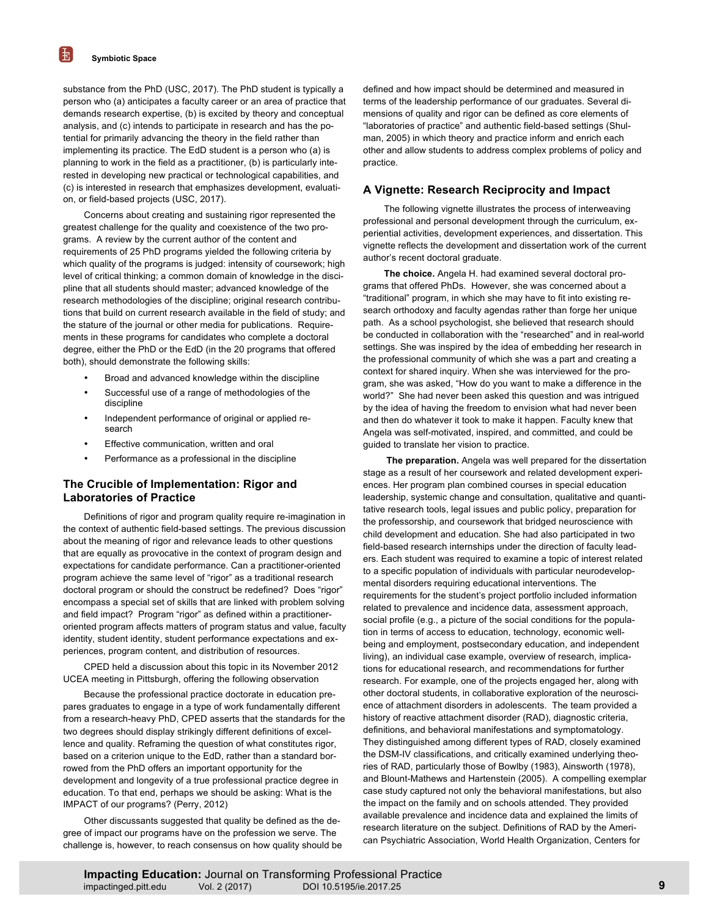substance from the PhD (USC, 2017). The PhD student is typically a person who (a) anticipates a faculty career or an area of practice that demands research expertise, (b) is excited by theory and conceptual analysis, and (c) intends to participate in research and has the potential for primarily advancing the theory in the field rather than implementing its practice. The EdD student is a person who (a) is planning to work in the field as a practitioner, (b) is particularly interested in developing new practical or technological capabilities, and (c) is interested in research that emphasizes development, evaluation, or field-based projects (USC, 2017).

Concerns about creating and sustaining rigor represented the greatest challenge for the quality and coexistence of the two programs. A review by the current author of the content and requirements of 25 PhD programs yielded the following criteria by which quality of the programs is judged: intensity of coursework; high level of critical thinking; a common domain of knowledge in the discipline that all students should master; advanced knowledge of the research methodologies of the discipline; original research contributions that build on current research available in the field of study; and the stature of the journal or other media for publications. Requirements in these programs for candidates who complete a doctoral degree, either the PhD or the EdD (in the 20 programs that offered both), should demonstrate the following skills:

- Broad and advanced knowledge within the discipline
- Successful use of a range of methodologies of the discipline
- Independent performance of original or applied research
- Effective communication, written and oral
- Performance as a professional in the discipline

## **The Crucible of Implementation: Rigor and Laboratories of Practice**

Definitions of rigor and program quality require re-imagination in the context of authentic field-based settings. The previous discussion about the meaning of rigor and relevance leads to other questions that are equally as provocative in the context of program design and expectations for candidate performance. Can a practitioner-oriented program achieve the same level of "rigor" as a traditional research doctoral program or should the construct be redefined? Does "rigor" encompass a special set of skills that are linked with problem solving and field impact? Program "rigor" as defined within a practitioneroriented program affects matters of program status and value, faculty identity, student identity, student performance expectations and experiences, program content, and distribution of resources.

CPED held a discussion about this topic in its November 2012 UCEA meeting in Pittsburgh, offering the following observation

Because the professional practice doctorate in education prepares graduates to engage in a type of work fundamentally different from a research-heavy PhD, CPED asserts that the standards for the two degrees should display strikingly different definitions of excellence and quality. Reframing the question of what constitutes rigor, based on a criterion unique to the EdD, rather than a standard borrowed from the PhD offers an important opportunity for the development and longevity of a true professional practice degree in education. To that end, perhaps we should be asking: What is the IMPACT of our programs? (Perry, 2012)

Other discussants suggested that quality be defined as the degree of impact our programs have on the profession we serve. The challenge is, however, to reach consensus on how quality should be defined and how impact should be determined and measured in terms of the leadership performance of our graduates. Several dimensions of quality and rigor can be defined as core elements of "laboratories of practice" and authentic field-based settings (Shulman, 2005) in which theory and practice inform and enrich each other and allow students to address complex problems of policy and practice.

#### **A Vignette: Research Reciprocity and Impact**

The following vignette illustrates the process of interweaving professional and personal development through the curriculum, experiential activities, development experiences, and dissertation. This vignette reflects the development and dissertation work of the current author's recent doctoral graduate.

**The choice.** Angela H. had examined several doctoral programs that offered PhDs. However, she was concerned about a "traditional" program, in which she may have to fit into existing research orthodoxy and faculty agendas rather than forge her unique path. As a school psychologist, she believed that research should be conducted in collaboration with the "researched" and in real-world settings. She was inspired by the idea of embedding her research in the professional community of which she was a part and creating a context for shared inquiry. When she was interviewed for the program, she was asked, "How do you want to make a difference in the world?" She had never been asked this question and was intrigued by the idea of having the freedom to envision what had never been and then do whatever it took to make it happen. Faculty knew that Angela was self-motivated, inspired, and committed, and could be guided to translate her vision to practice.

**The preparation.** Angela was well prepared for the dissertation stage as a result of her coursework and related development experiences. Her program plan combined courses in special education leadership, systemic change and consultation, qualitative and quantitative research tools, legal issues and public policy, preparation for the professorship, and coursework that bridged neuroscience with child development and education. She had also participated in two field-based research internships under the direction of faculty leaders. Each student was required to examine a topic of interest related to a specific population of individuals with particular neurodevelopmental disorders requiring educational interventions. The requirements for the student's project portfolio included information related to prevalence and incidence data, assessment approach, social profile (e.g., a picture of the social conditions for the population in terms of access to education, technology, economic wellbeing and employment, postsecondary education, and independent living), an individual case example, overview of research, implications for educational research, and recommendations for further research. For example, one of the projects engaged her, along with other doctoral students, in collaborative exploration of the neuroscience of attachment disorders in adolescents. The team provided a history of reactive attachment disorder (RAD), diagnostic criteria, definitions, and behavioral manifestations and symptomatology. They distinguished among different types of RAD, closely examined the DSM-IV classifications, and critically examined underlying theories of RAD, particularly those of Bowlby (1983), Ainsworth (1978), and Blount-Mathews and Hartenstein (2005). A compelling exemplar case study captured not only the behavioral manifestations, but also the impact on the family and on schools attended. They provided available prevalence and incidence data and explained the limits of research literature on the subject. Definitions of RAD by the American Psychiatric Association, World Health Organization, Centers for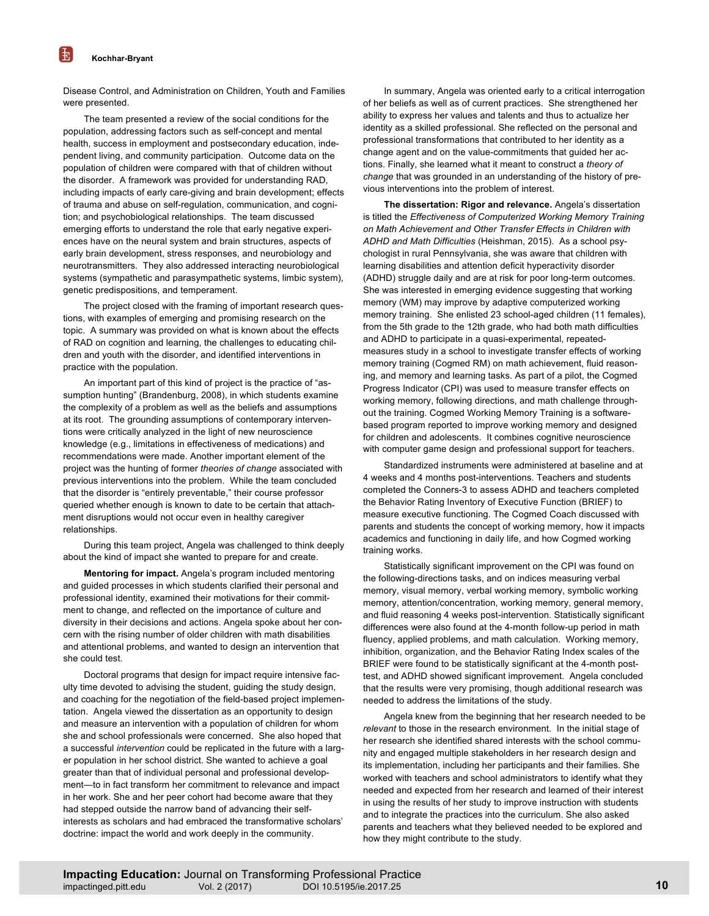Disease Control, and Administration on Children, Youth and Families were presented.

The team presented a review of the social conditions for the population, addressing factors such as self-concept and mental health, success in employment and postsecondary education, independent living, and community participation. Outcome data on the population of children were compared with that of children without the disorder. A framework was provided for understanding RAD, including impacts of early care-giving and brain development; effects of trauma and abuse on self-regulation, communication, and cognition; and psychobiological relationships. The team discussed emerging efforts to understand the role that early negative experiences have on the neural system and brain structures, aspects of early brain development, stress responses, and neurobiology and neurotransmitters. They also addressed interacting neurobiological systems (sympathetic and parasympathetic systems, limbic system), genetic predispositions, and temperament.

The project closed with the framing of important research questions, with examples of emerging and promising research on the topic. A summary was provided on what is known about the effects of RAD on cognition and learning, the challenges to educating children and youth with the disorder, and identified interventions in practice with the population.

An important part of this kind of project is the practice of "assumption hunting" (Brandenburg, 2008), in which students examine the complexity of a problem as well as the beliefs and assumptions at its root. The grounding assumptions of contemporary interventions were critically analyzed in the light of new neuroscience knowledge (e.g., limitations in effectiveness of medications) and recommendations were made. Another important element of the project was the hunting of former *theories of change* associated with previous interventions into the problem. While the team concluded that the disorder is "entirely preventable," their course professor queried whether enough is known to date to be certain that attachment disruptions would not occur even in healthy caregiver relationships.

During this team project, Angela was challenged to think deeply about the kind of impact she wanted to prepare for and create.

**Mentoring for impact.** Angela's program included mentoring and guided processes in which students clarified their personal and professional identity, examined their motivations for their commitment to change, and reflected on the importance of culture and diversity in their decisions and actions. Angela spoke about her concern with the rising number of older children with math disabilities and attentional problems, and wanted to design an intervention that she could test.

Doctoral programs that design for impact require intensive faculty time devoted to advising the student, guiding the study design, and coaching for the negotiation of the field-based project implementation. Angela viewed the dissertation as an opportunity to design and measure an intervention with a population of children for whom she and school professionals were concerned. She also hoped that a successful *intervention* could be replicated in the future with a larger population in her school district. She wanted to achieve a goal greater than that of individual personal and professional development—to in fact transform her commitment to relevance and impact in her work. She and her peer cohort had become aware that they had stepped outside the narrow band of advancing their selfinterests as scholars and had embraced the transformative scholars' doctrine: impact the world and work deeply in the community.

In summary, Angela was oriented early to a critical interrogation of her beliefs as well as of current practices. She strengthened her ability to express her values and talents and thus to actualize her identity as a skilled professional. She reflected on the personal and professional transformations that contributed to her identity as a change agent and on the value-commitments that guided her actions. Finally, she learned what it meant to construct a *theory of change* that was grounded in an understanding of the history of previous interventions into the problem of interest.

**The dissertation: Rigor and relevance.** Angela's dissertation is titled the *Effectiveness of Computerized Working Memory Training on Math Achievement and Other Transfer Effects in Children with ADHD and Math Difficulties* (Heishman, 2015). As a school psychologist in rural Pennsylvania, she was aware that children with learning disabilities and attention deficit hyperactivity disorder (ADHD) struggle daily and are at risk for poor long-term outcomes. She was interested in emerging evidence suggesting that working memory (WM) may improve by adaptive computerized working memory training. She enlisted 23 school-aged children (11 females), from the 5th grade to the 12th grade, who had both math difficulties and ADHD to participate in a quasi-experimental, repeatedmeasures study in a school to investigate transfer effects of working memory training (Cogmed RM) on math achievement, fluid reasoning, and memory and learning tasks. As part of a pilot, the Cogmed Progress Indicator (CPI) was used to measure transfer effects on working memory, following directions, and math challenge throughout the training. Cogmed Working Memory Training is a softwarebased program reported to improve working memory and designed for children and adolescents. It combines cognitive neuroscience with computer game design and professional support for teachers.

Standardized instruments were administered at baseline and at 4 weeks and 4 months post-interventions. Teachers and students completed the Conners-3 to assess ADHD and teachers completed the Behavior Rating Inventory of Executive Function (BRIEF) to measure executive functioning. The Cogmed Coach discussed with parents and students the concept of working memory, how it impacts academics and functioning in daily life, and how Cogmed working training works.

Statistically significant improvement on the CPI was found on the following-directions tasks, and on indices measuring verbal memory, visual memory, verbal working memory, symbolic working memory, attention/concentration, working memory, general memory, and fluid reasoning 4 weeks post-intervention. Statistically significant differences were also found at the 4-month follow-up period in math fluency, applied problems, and math calculation. Working memory, inhibition, organization, and the Behavior Rating Index scales of the BRIEF were found to be statistically significant at the 4-month posttest, and ADHD showed significant improvement. Angela concluded that the results were very promising, though additional research was needed to address the limitations of the study.

Angela knew from the beginning that her research needed to be *relevant* to those in the research environment. In the initial stage of her research she identified shared interests with the school community and engaged multiple stakeholders in her research design and its implementation, including her participants and their families. She worked with teachers and school administrators to identify what they needed and expected from her research and learned of their interest in using the results of her study to improve instruction with students and to integrate the practices into the curriculum. She also asked parents and teachers what they believed needed to be explored and how they might contribute to the study.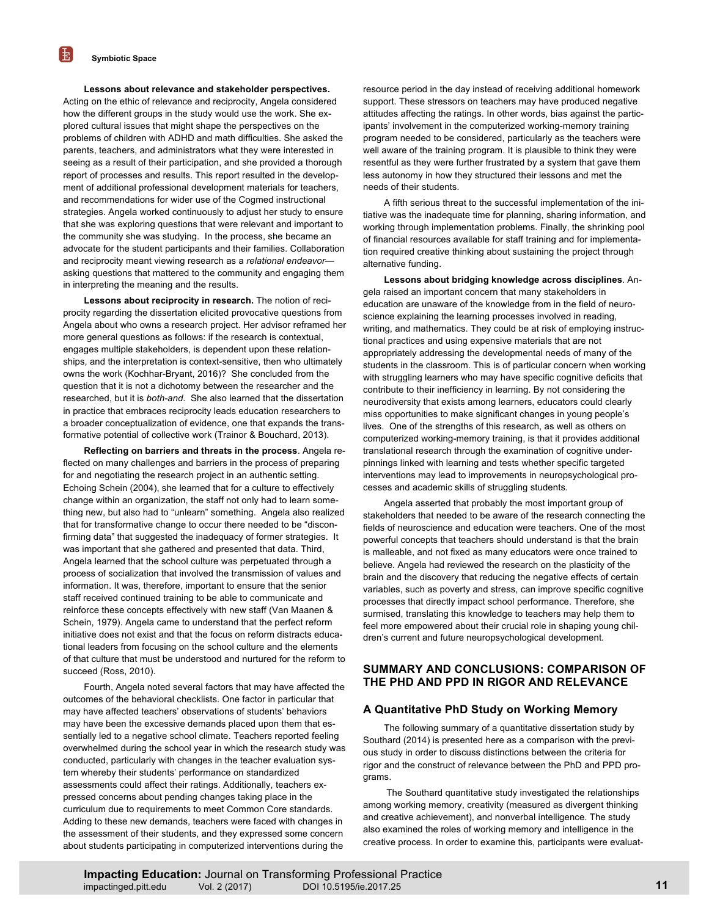玉

#### **Lessons about relevance and stakeholder perspectives.**

Acting on the ethic of relevance and reciprocity, Angela considered how the different groups in the study would use the work. She explored cultural issues that might shape the perspectives on the problems of children with ADHD and math difficulties. She asked the parents, teachers, and administrators what they were interested in seeing as a result of their participation, and she provided a thorough report of processes and results. This report resulted in the development of additional professional development materials for teachers, and recommendations for wider use of the Cogmed instructional strategies. Angela worked continuously to adjust her study to ensure that she was exploring questions that were relevant and important to the community she was studying. In the process, she became an advocate for the student participants and their families. Collaboration and reciprocity meant viewing research as a *relational endeavor* asking questions that mattered to the community and engaging them in interpreting the meaning and the results.

**Lessons about reciprocity in research.** The notion of reciprocity regarding the dissertation elicited provocative questions from Angela about who owns a research project. Her advisor reframed her more general questions as follows: if the research is contextual, engages multiple stakeholders, is dependent upon these relationships, and the interpretation is context-sensitive, then who ultimately owns the work (Kochhar-Bryant, 2016)? She concluded from the question that it is not a dichotomy between the researcher and the researched, but it is *both-and.* She also learned that the dissertation in practice that embraces reciprocity leads education researchers to a broader conceptualization of evidence, one that expands the transformative potential of collective work (Trainor & Bouchard, 2013).

**Reflecting on barriers and threats in the process**. Angela reflected on many challenges and barriers in the process of preparing for and negotiating the research project in an authentic setting. Echoing Schein (2004), she learned that for a culture to effectively change within an organization, the staff not only had to learn something new, but also had to "unlearn" something. Angela also realized that for transformative change to occur there needed to be "disconfirming data" that suggested the inadequacy of former strategies. It was important that she gathered and presented that data. Third, Angela learned that the school culture was perpetuated through a process of socialization that involved the transmission of values and information. It was, therefore, important to ensure that the senior staff received continued training to be able to communicate and reinforce these concepts effectively with new staff (Van Maanen & Schein, 1979). Angela came to understand that the perfect reform initiative does not exist and that the focus on reform distracts educational leaders from focusing on the school culture and the elements of that culture that must be understood and nurtured for the reform to succeed (Ross, 2010).

Fourth, Angela noted several factors that may have affected the outcomes of the behavioral checklists. One factor in particular that may have affected teachers' observations of students' behaviors may have been the excessive demands placed upon them that essentially led to a negative school climate. Teachers reported feeling overwhelmed during the school year in which the research study was conducted, particularly with changes in the teacher evaluation system whereby their students' performance on standardized assessments could affect their ratings. Additionally, teachers expressed concerns about pending changes taking place in the curriculum due to requirements to meet Common Core standards. Adding to these new demands, teachers were faced with changes in the assessment of their students, and they expressed some concern about students participating in computerized interventions during the

resource period in the day instead of receiving additional homework support. These stressors on teachers may have produced negative attitudes affecting the ratings. In other words, bias against the participants' involvement in the computerized working-memory training program needed to be considered, particularly as the teachers were well aware of the training program. It is plausible to think they were resentful as they were further frustrated by a system that gave them less autonomy in how they structured their lessons and met the needs of their students.

A fifth serious threat to the successful implementation of the initiative was the inadequate time for planning, sharing information, and working through implementation problems. Finally, the shrinking pool of financial resources available for staff training and for implementation required creative thinking about sustaining the project through alternative funding.

**Lessons about bridging knowledge across disciplines**. Angela raised an important concern that many stakeholders in education are unaware of the knowledge from in the field of neuroscience explaining the learning processes involved in reading, writing, and mathematics. They could be at risk of employing instructional practices and using expensive materials that are not appropriately addressing the developmental needs of many of the students in the classroom. This is of particular concern when working with struggling learners who may have specific cognitive deficits that contribute to their inefficiency in learning. By not considering the neurodiversity that exists among learners, educators could clearly miss opportunities to make significant changes in young people's lives. One of the strengths of this research, as well as others on computerized working-memory training, is that it provides additional translational research through the examination of cognitive underpinnings linked with learning and tests whether specific targeted interventions may lead to improvements in neuropsychological processes and academic skills of struggling students.

Angela asserted that probably the most important group of stakeholders that needed to be aware of the research connecting the fields of neuroscience and education were teachers. One of the most powerful concepts that teachers should understand is that the brain is malleable, and not fixed as many educators were once trained to believe. Angela had reviewed the research on the plasticity of the brain and the discovery that reducing the negative effects of certain variables, such as poverty and stress, can improve specific cognitive processes that directly impact school performance. Therefore, she surmised, translating this knowledge to teachers may help them to feel more empowered about their crucial role in shaping young children's current and future neuropsychological development.

## **SUMMARY AND CONCLUSIONS: COMPARISON OF THE PHD AND PPD IN RIGOR AND RELEVANCE**

#### **A Quantitative PhD Study on Working Memory**

The following summary of a quantitative dissertation study by Southard (2014) is presented here as a comparison with the previous study in order to discuss distinctions between the criteria for rigor and the construct of relevance between the PhD and PPD programs.

The Southard quantitative study investigated the relationships among working memory, creativity (measured as divergent thinking and creative achievement), and nonverbal intelligence. The study also examined the roles of working memory and intelligence in the creative process. In order to examine this, participants were evaluat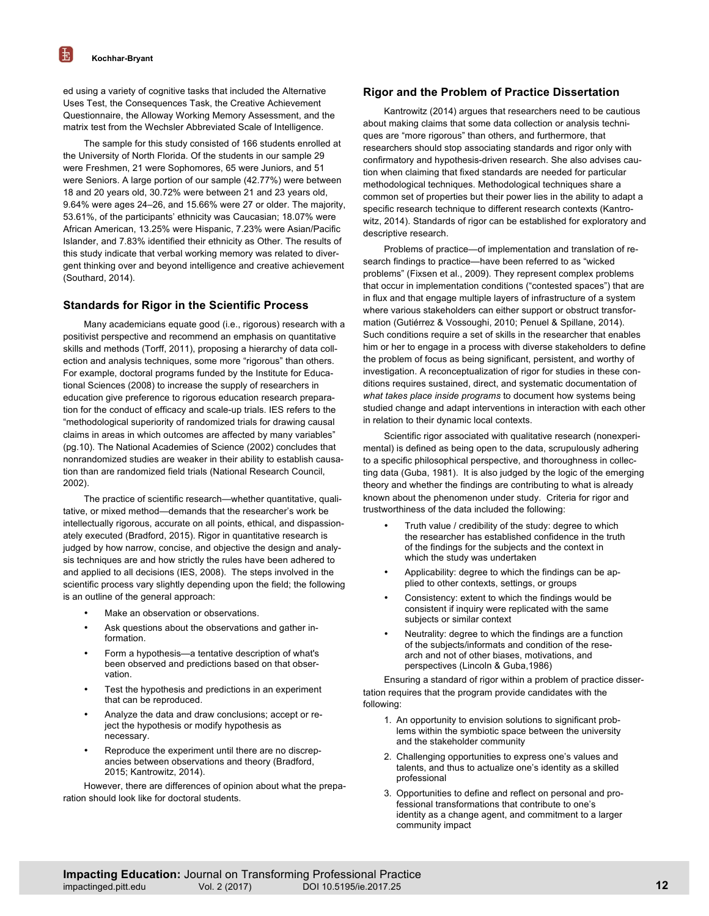ed using a variety of cognitive tasks that included the Alternative Uses Test, the Consequences Task, the Creative Achievement Questionnaire, the Alloway Working Memory Assessment, and the matrix test from the Wechsler Abbreviated Scale of Intelligence.

The sample for this study consisted of 166 students enrolled at the University of North Florida. Of the students in our sample 29 were Freshmen, 21 were Sophomores, 65 were Juniors, and 51 were Seniors. A large portion of our sample (42.77%) were between 18 and 20 years old, 30.72% were between 21 and 23 years old, 9.64% were ages 24–26, and 15.66% were 27 or older. The majority, 53.61%, of the participants' ethnicity was Caucasian; 18.07% were African American, 13.25% were Hispanic, 7.23% were Asian/Pacific Islander, and 7.83% identified their ethnicity as Other. The results of this study indicate that verbal working memory was related to divergent thinking over and beyond intelligence and creative achievement (Southard, 2014).

# **Standards for Rigor in the Scientific Process**

Many academicians equate good (i.e., rigorous) research with a positivist perspective and recommend an emphasis on quantitative skills and methods (Torff, 2011), proposing a hierarchy of data collection and analysis techniques, some more "rigorous" than others. For example, doctoral programs funded by the Institute for Educational Sciences (2008) to increase the supply of researchers in education give preference to rigorous education research preparation for the conduct of efficacy and scale-up trials. IES refers to the "methodological superiority of randomized trials for drawing causal claims in areas in which outcomes are affected by many variables" (pg.10). The National Academies of Science (2002) concludes that nonrandomized studies are weaker in their ability to establish causation than are randomized field trials (National Research Council, 2002).

The practice of scientific research—whether quantitative, qualitative, or mixed method—demands that the researcher's work be intellectually rigorous, accurate on all points, ethical, and dispassionately executed (Bradford, 2015). Rigor in quantitative research is judged by how narrow, concise, and objective the design and analysis techniques are and how strictly the rules have been adhered to and applied to all decisions (IES, 2008). The steps involved in the scientific process vary slightly depending upon the field; the following is an outline of the general approach:

- Make an observation or observations.
- Ask questions about the observations and gather information.
- Form a hypothesis—a tentative description of what's been observed and predictions based on that observation.
- Test the hypothesis and predictions in an experiment that can be reproduced.
- Analyze the data and draw conclusions; accept or reject the hypothesis or modify hypothesis as necessary.
- Reproduce the experiment until there are no discrepancies between observations and theory (Bradford, 2015; Kantrowitz, 2014).

However, there are differences of opinion about what the preparation should look like for doctoral students.

## **Rigor and the Problem of Practice Dissertation**

Kantrowitz (2014) argues that researchers need to be cautious about making claims that some data collection or analysis techniques are "more rigorous" than others, and furthermore, that researchers should stop associating standards and rigor only with confirmatory and hypothesis-driven research. She also advises caution when claiming that fixed standards are needed for particular methodological techniques. Methodological techniques share a common set of properties but their power lies in the ability to adapt a specific research technique to different research contexts (Kantrowitz, 2014). Standards of rigor can be established for exploratory and descriptive research.

Problems of practice—of implementation and translation of research findings to practice—have been referred to as "wicked problems" (Fixsen et al., 2009). They represent complex problems that occur in implementation conditions ("contested spaces") that are in flux and that engage multiple layers of infrastructure of a system where various stakeholders can either support or obstruct transformation (Gutiérrez & Vossoughi, 2010; Penuel & Spillane, 2014). Such conditions require a set of skills in the researcher that enables him or her to engage in a process with diverse stakeholders to define the problem of focus as being significant, persistent, and worthy of investigation. A reconceptualization of rigor for studies in these conditions requires sustained, direct, and systematic documentation of *what takes place inside programs* to document how systems being studied change and adapt interventions in interaction with each other in relation to their dynamic local contexts.

Scientific rigor associated with qualitative research (nonexperimental) is defined as being open to the data, scrupulously adhering to a specific philosophical perspective, and thoroughness in collecting data (Guba, 1981). It is also judged by the logic of the emerging theory and whether the findings are contributing to what is already known about the phenomenon under study. Criteria for rigor and trustworthiness of the data included the following:

- Truth value / credibility of the study: degree to which the researcher has established confidence in the truth of the findings for the subjects and the context in which the study was undertaken
- Applicability: degree to which the findings can be applied to other contexts, settings, or groups
- Consistency: extent to which the findings would be consistent if inquiry were replicated with the same subjects or similar context
- Neutrality: degree to which the findings are a function of the subjects/informats and condition of the research and not of other biases, motivations, and perspectives (Lincoln & Guba,1986)

Ensuring a standard of rigor within a problem of practice dissertation requires that the program provide candidates with the following:

- 1. An opportunity to envision solutions to significant problems within the symbiotic space between the university and the stakeholder community
- 2. Challenging opportunities to express one's values and talents, and thus to actualize one's identity as a skilled professional
- 3. Opportunities to define and reflect on personal and professional transformations that contribute to one's identity as a change agent, and commitment to a larger community impact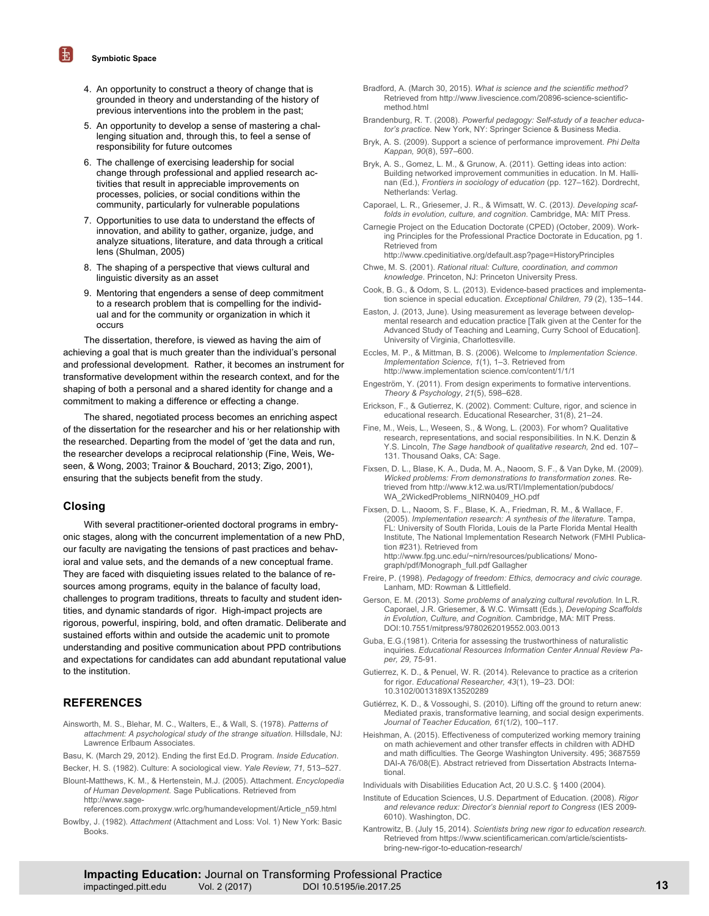**Symbiotic Space**

玉

- 4. An opportunity to construct a theory of change that is grounded in theory and understanding of the history of previous interventions into the problem in the past;
- 5. An opportunity to develop a sense of mastering a challenging situation and, through this, to feel a sense of responsibility for future outcomes
- 6. The challenge of exercising leadership for social change through professional and applied research activities that result in appreciable improvements on processes, policies, or social conditions within the community, particularly for vulnerable populations
- 7. Opportunities to use data to understand the effects of innovation, and ability to gather, organize, judge, and analyze situations, literature, and data through a critical lens (Shulman, 2005)
- 8. The shaping of a perspective that views cultural and linguistic diversity as an asset
- 9. Mentoring that engenders a sense of deep commitment to a research problem that is compelling for the individual and for the community or organization in which it occurs

The dissertation, therefore, is viewed as having the aim of achieving a goal that is much greater than the individual's personal and professional development. Rather, it becomes an instrument for transformative development within the research context, and for the shaping of both a personal and a shared identity for change and a commitment to making a difference or effecting a change.

The shared, negotiated process becomes an enriching aspect of the dissertation for the researcher and his or her relationship with the researched. Departing from the model of 'get the data and run, the researcher develops a reciprocal relationship (Fine, Weis, Weseen, & Wong, 2003; Trainor & Bouchard, 2013; Zigo, 2001), ensuring that the subjects benefit from the study.

## **Closing**

With several practitioner-oriented doctoral programs in embryonic stages, along with the concurrent implementation of a new PhD, our faculty are navigating the tensions of past practices and behavioral and value sets, and the demands of a new conceptual frame. They are faced with disquieting issues related to the balance of resources among programs, equity in the balance of faculty load, challenges to program traditions, threats to faculty and student identities, and dynamic standards of rigor. High-impact projects are rigorous, powerful, inspiring, bold, and often dramatic. Deliberate and sustained efforts within and outside the academic unit to promote understanding and positive communication about PPD contributions and expectations for candidates can add abundant reputational value to the institution.

# **REFERENCES**

- Ainsworth, M. S., Blehar, M. C., Walters, E., & Wall, S. (1978). *Patterns of attachment: A psychological study of the strange situation*. Hillsdale, NJ: Lawrence Erlbaum Associates.
- Basu, K. (March 29, 2012). Ending the first Ed.D. Program. *Inside Education*.

Becker, H. S. (1982). Culture: A sociological view. *Yale Review, 71,* 513–527.

Blount-Matthews, K. M., & Hertenstein, M.J. (2005). Attachment. *Encyclopedia of Human Development.* Sage Publications*.* Retrieved from http://www.sage

references.com.proxygw.wrlc.org/humandevelopment/Article\_n59.html

Bowlby, J. (1982). *Attachment* (Attachment and Loss: Vol. 1) New York: Basic **Books** 

- Bradford, A. (March 30, 2015). *What is science and the scientific method?* Retrieved from http://www.livescience.com/20896-science-scientificmethod html
- Brandenburg, R. T. (2008). *Powerful pedagogy: Self-study of a teacher educator's practice.* New York, NY: Springer Science & Business Media.
- Bryk, A. S. (2009). Support a science of performance improvement. *Phi Delta Kappan, 90*(8), 597–600.
- Bryk, A. S., Gomez, L. M., & Grunow, A. (2011). Getting ideas into action: Building networked improvement communities in education. In M. Hallinan (Ed.), *Frontiers in sociology of education* (pp. 127–162). Dordrecht, Netherlands: Verlag.
- Caporael, L. R., Griesemer, J. R., & Wimsatt, W. C. (2013*). Developing scaffolds in evolution, culture, and cognition*. Cambridge, MA: MIT Press.
- Carnegie Project on the Education Doctorate (CPED) (October, 2009). Working Principles for the Professional Practice Doctorate in Education, pg 1. Retrieved from http://www.cpedinitiative.org/default.asp?page=HistoryPrinciples
- Chwe, M. S. (2001). *Rational ritual: Culture, coordination, and common knowledge*. Princeton, NJ: Princeton University Press.
- Cook, B. G., & Odom, S. L. (2013). Evidence-based practices and implementation science in special education. *Exceptional Children, 79* (2), 135–144.
- Easton, J. (2013, June). Using measurement as leverage between developmental research and education practice [Talk given at the Center for the Advanced Study of Teaching and Learning, Curry School of Education]. University of Virginia, Charlottesville.
- Eccles, M. P., & Mittman, B. S. (2006). Welcome to *Implementation Science*. *Implementation Science, 1*(1), 1–3. Retrieved from http://www.implementation science.com/content/1/1/1
- Engeström, Y. (2011). From design experiments to formative interventions. *Theory & Psychology*, *21*(5), 598–628.
- Erickson, F., & Gutierrez, K. (2002). Comment: Culture, rigor, and science in educational research. Educational Researcher, 31(8), 21–24.
- Fine, M., Weis, L., Weseen, S., & Wong, L. (2003). For whom? Qualitative research, representations, and social responsibilities. In N.K. Denzin & Y.S. Lincoln, *The Sage handbook of qualitative research,* 2nd ed. 107– 131. Thousand Oaks, CA: Sage.
- Fixsen, D. L., Blase, K. A., Duda, M. A., Naoom, S. F., & Van Dyke, M. (2009). *Wicked problems: From demonstrations to transformation zones.* Retrieved from http://www.k12.wa.us/RTI/Implementation/pubdocs/ WA\_2WickedProblems\_NIRN0409\_HO.pdf
- Fixsen, D. L., Naoom, S. F., Blase, K. A., Friedman, R. M., & Wallace, F. (2005). *Implementation research: A synthesis of the literature*. Tampa, FL: University of South Florida, Louis de la Parte Florida Mental Health Institute, The National Implementation Research Network (FMHI Publication #231). Retrieved from http://www.fpg.unc.edu/~nirn/resources/publications/ Monograph/pdf/Monograph\_full.pdf Gallagher
- Freire, P. (1998). *Pedagogy of freedom: Ethics, democracy and civic courage.* Lanham, MD: Rowman & Littlefield.
- Gerson, E. M. (2013). *Some problems of analyzing cultural revolution.* In L.R. Caporael, J.R. Griesemer, & W.C. Wimsatt (Eds.), *Developing Scaffolds in Evolution, Culture, and Cognition.* Cambridge, MA: MIT Press. DOI:10.7551/mitpress/9780262019552.003.0013
- Guba, E.G.(1981). Criteria for assessing the trustworthiness of naturalistic inquiries. *Educational Resources Information Center Annual Review Paper, 29,* 75-91.
- Gutierrez, K. D., & Penuel, W. R. (2014). Relevance to practice as a criterion for rigor. *Educational Researcher, 43*(1), 19–23. DOI: 10.3102/0013189X13520289
- Gutiérrez, K. D., & Vossoughi, S. (2010). Lifting off the ground to return anew: Mediated praxis, transformative learning, and social design experiments. *Journal of Teacher Education, 61*(1/2), 100–117.
- Heishman, A. (2015). Effectiveness of computerized working memory training on math achievement and other transfer effects in children with ADHD and math difficulties. The George Washington University. 495; 3687559 DAI-A 76/08(E). Abstract retrieved from Dissertation Abstracts International.

Individuals with Disabilities Education Act, 20 U.S.C. § 1400 (2004).

- Institute of Education Sciences, U.S. Department of Education. (2008). *Rigor and relevance redux: Director's biennial report to Congress* (IES 2009- 6010). Washington, DC.
- Kantrowitz, B. (July 15, 2014). *Scientists bring new rigor to education research.* Retrieved from https://www.scientificamerican.com/article/scientistsbring-new-rigor-to-education-research/